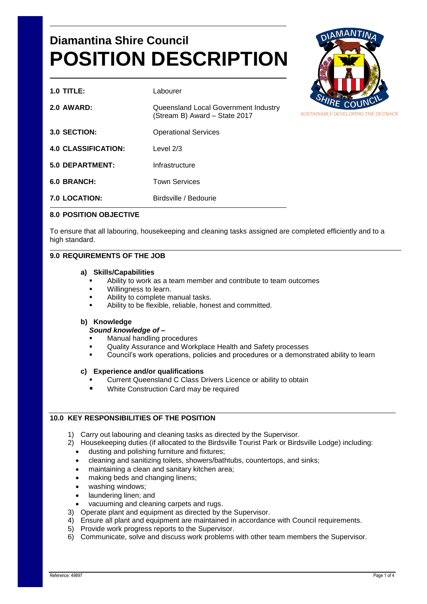# **Diamantina Shire Council POSITION DESCRIPTION**

| $1.0$ TITLE:               | Labourer                                                              |
|----------------------------|-----------------------------------------------------------------------|
| <b>2.0 AWARD:</b>          | Queensland Local Government Industry<br>(Stream B) Award - State 2017 |
| 3.0 SECTION:               | <b>Operational Services</b>                                           |
| <b>4.0 CLASSIFICATION:</b> | Level $2/3$                                                           |
| <b>5.0 DEPARTMENT:</b>     | Infrastructure                                                        |
| 6.0 BRANCH:                | <b>Town Services</b>                                                  |
| <b>7.0 LOCATION:</b>       | Birdsville / Bedourie                                                 |



## **8.0 POSITION OBJECTIVE**

To ensure that all labouring, housekeeping and cleaning tasks assigned are completed efficiently and to a high standard.

## **9.0 REQUIREMENTS OF THE JOB**

#### **a) Skills/Capabilities**

- Ability to work as a team member and contribute to team outcomes
- Willingness to learn.
- Ability to complete manual tasks.
- Ability to be flexible, reliable, honest and committed.

#### **b) Knowledge**

#### *Sound knowledge of –*

- Manual handling procedures
- Quality Assurance and Workplace Health and Safety processes
- Council's work operations, policies and procedures or a demonstrated ability to learn

#### **c) Experience and/or qualifications**

- Current Queensland C Class Drivers Licence or ability to obtain
- White Construction Card may be required

# **10.0 KEY RESPONSIBILITIES OF THE POSITION**

- 1) Carry out labouring and cleaning tasks as directed by the Supervisor.
- 2) Housekeeping duties (if allocated to the Birdsville Tourist Park or Birdsville Lodge) including:
	- dusting and polishing furniture and fixtures;
	- cleaning and sanitizing toilets, showers/bathtubs, countertops, and sinks;
	- maintaining a clean and sanitary kitchen area;
	- making beds and changing linens;
	- washing windows;
	- laundering linen; and
	- vacuuming and cleaning carpets and rugs.
- 3) Operate plant and equipment as directed by the Supervisor.
- 4) Ensure all plant and equipment are maintained in accordance with Council requirements.
- 5) Provide work progress reports to the Supervisor.
- 6) Communicate, solve and discuss work problems with other team members the Supervisor.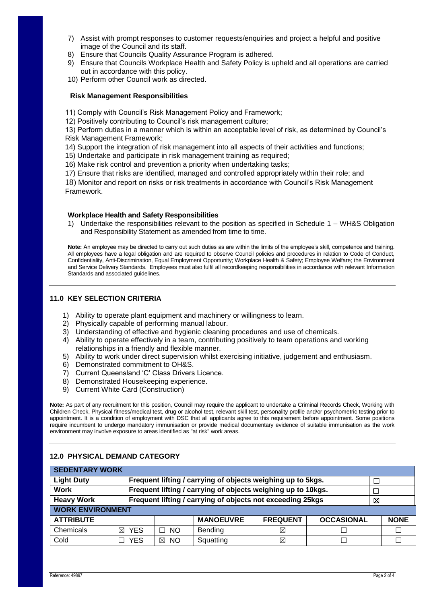- 7) Assist with prompt responses to customer requests/enquiries and project a helpful and positive image of the Council and its staff.
- 8) Ensure that Councils Quality Assurance Program is adhered.
- 9) Ensure that Councils Workplace Health and Safety Policy is upheld and all operations are carried out in accordance with this policy.
- 10) Perform other Council work as directed.

#### **Risk Management Responsibilities**

- 11) Comply with Council's Risk Management Policy and Framework;
- 12) Positively contributing to Council's risk management culture;

13) Perform duties in a manner which is within an acceptable level of risk, as determined by Council's Risk Management Framework;

- 14) Support the integration of risk management into all aspects of their activities and functions;
- 15) Undertake and participate in risk management training as required;
- 16) Make risk control and prevention a priority when undertaking tasks;
- 17) Ensure that risks are identified, managed and controlled appropriately within their role; and

18) Monitor and report on risks or risk treatments in accordance with Council's Risk Management Framework.

#### **Workplace Health and Safety Responsibilities**

1) Undertake the responsibilities relevant to the position as specified in Schedule 1 – WH&S Obligation and Responsibility Statement as amended from time to time.

**Note:** An employee may be directed to carry out such duties as are within the limits of the employee's skill, competence and training. All employees have a legal obligation and are required to observe Council policies and procedures in relation to Code of Conduct, Confidentiality, Anti-Discrimination, Equal Employment Opportunity; Workplace Health & Safety; Employee Welfare; the Environment and Service Delivery Standards. Employees must also fulfil all recordkeeping responsibilities in accordance with relevant Information Standards and associated guidelines.

## **11.0 KEY SELECTION CRITERIA**

- 1) Ability to operate plant equipment and machinery or willingness to learn.
- 2) Physically capable of performing manual labour.
- 3) Understanding of effective and hygienic cleaning procedures and use of chemicals.
- 4) Ability to operate effectively in a team, contributing positively to team operations and working relationships in a friendly and flexible manner.
- 5) Ability to work under direct supervision whilst exercising initiative, judgement and enthusiasm.
- 6) Demonstrated commitment to OH&S.
- 7) Current Queensland 'C' Class Drivers Licence.
- 8) Demonstrated Housekeeping experience.
- 9) Current White Card (Construction)

**Note:** As part of any recruitment for this position, Council may require the applicant to undertake a Criminal Records Check, Working with Children Check, Physical fitness/medical test, drug or alcohol test, relevant skill test, personality profile and/or psychometric testing prior to appointment. It is a condition of employment with DSC that all applicants agree to this requirement before appointment. Some positions require incumbent to undergo mandatory immunisation or provide medical documentary evidence of suitable immunisation as the work environment may involve exposure to areas identified as "at risk" work areas.

| <b>SEDENTARY WORK</b>   |                                                             |                                                                 |                  |                 |                   |  |             |  |  |  |
|-------------------------|-------------------------------------------------------------|-----------------------------------------------------------------|------------------|-----------------|-------------------|--|-------------|--|--|--|
| <b>Light Duty</b>       | Frequent lifting / carrying of objects weighing up to 5kgs. |                                                                 |                  |                 |                   |  |             |  |  |  |
| <b>Work</b>             |                                                             | Frequent lifting / carrying of objects weighing up to 10kgs.    |                  |                 |                   |  |             |  |  |  |
| <b>Heavy Work</b>       |                                                             | Frequent lifting / carrying of objects not exceeding 25kgs<br>⊠ |                  |                 |                   |  |             |  |  |  |
| <b>WORK ENVIRONMENT</b> |                                                             |                                                                 |                  |                 |                   |  |             |  |  |  |
| <b>ATTRIBUTE</b>        |                                                             |                                                                 | <b>MANOEUVRE</b> | <b>FREQUENT</b> | <b>OCCASIONAL</b> |  | <b>NONE</b> |  |  |  |
| Chemicals               | $\boxtimes$ YES                                             | NO.                                                             | Bending          | ⊠               |                   |  |             |  |  |  |
| Cold                    | YES                                                         | X<br><b>NO</b>                                                  | Squatting        | ⊠               |                   |  |             |  |  |  |

#### **12.0 PHYSICAL DEMAND CATEGORY**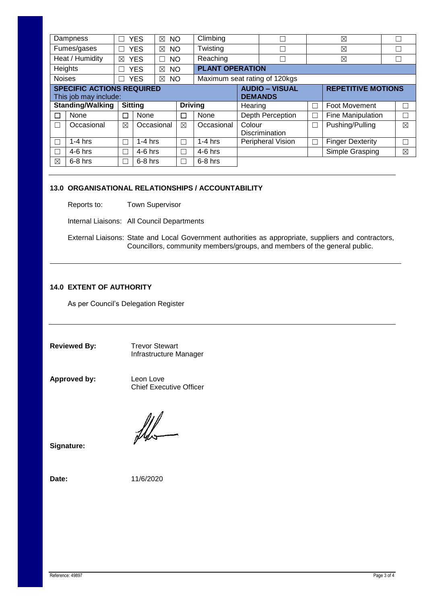|               | Dampness                                                  |   | <b>YES</b><br>NO<br>$\boxtimes$ |                                            | Climbing   |         |                                         | $\boxtimes$ |                           | П |             |  |
|---------------|-----------------------------------------------------------|---|---------------------------------|--------------------------------------------|------------|---------|-----------------------------------------|-------------|---------------------------|---|-------------|--|
|               | Fumes/gases                                               |   | <b>YES</b><br>⊠                 | Twisting<br><b>NO</b>                      |            |         |                                         | ⊠           |                           |   |             |  |
|               | Heat / Humidity                                           | ⊠ | <b>YES</b><br>П                 | Reaching<br><b>NO</b>                      |            |         |                                         |             | ⊠                         |   | H           |  |
|               | Heights                                                   |   | <b>YES</b><br>$\boxtimes$       | <b>PLANT OPERATION</b><br><b>NO</b>        |            |         |                                         |             |                           |   |             |  |
| <b>Noises</b> |                                                           |   | <b>YES</b><br>$\boxtimes$       | Maximum seat rating of 120kgs<br><b>NO</b> |            |         |                                         |             |                           |   |             |  |
|               | <b>SPECIFIC ACTIONS REQUIRED</b><br>This job may include: |   |                                 |                                            |            |         | <b>AUDIO – VISUAL</b><br><b>DEMANDS</b> |             | <b>REPETITIVE MOTIONS</b> |   |             |  |
|               |                                                           |   |                                 |                                            |            |         |                                         |             |                           |   |             |  |
|               | <b>Standing/Walking</b>                                   |   | <b>Sitting</b>                  | <b>Driving</b>                             |            | Hearing |                                         | Г           | <b>Foot Movement</b>      |   |             |  |
|               | None                                                      | Г | None                            | П                                          | None       |         | Depth Perception                        | П           | Fine Manipulation         |   |             |  |
|               | Occasional                                                | ⊠ | Occasional                      | $\boxtimes$                                | Occasional | Colour  | <b>Discrimination</b>                   | $\Box$      | Pushing/Pulling           |   | $\boxtimes$ |  |
|               | $1-4$ hrs                                                 | Τ | $1-4$ hrs                       | П                                          | $1-4$ hrs  |         | Peripheral Vision                       | П           | <b>Finger Dexterity</b>   |   |             |  |
|               | $4-6$ hrs                                                 | Ξ | $4-6$ hrs                       | П                                          | $4-6$ hrs  |         |                                         |             | Simple Grasping           |   | $\boxtimes$ |  |

# **13.0 ORGANISATIONAL RELATIONSHIPS / ACCOUNTABILITY**

Reports to: Town Supervisor

Internal Liaisons: All Council Departments

External Liaisons: State and Local Government authorities as appropriate, suppliers and contractors, Councillors, community members/groups, and members of the general public.

# **14.0 EXTENT OF AUTHORITY**

As per Council's Delegation Register

**Reviewed By:** Trevor Stewart Infrastructure Manager

**Approved by:** Leon Love

Chief Executive Officer

**Signature:** 

**Date:** 11/6/2020